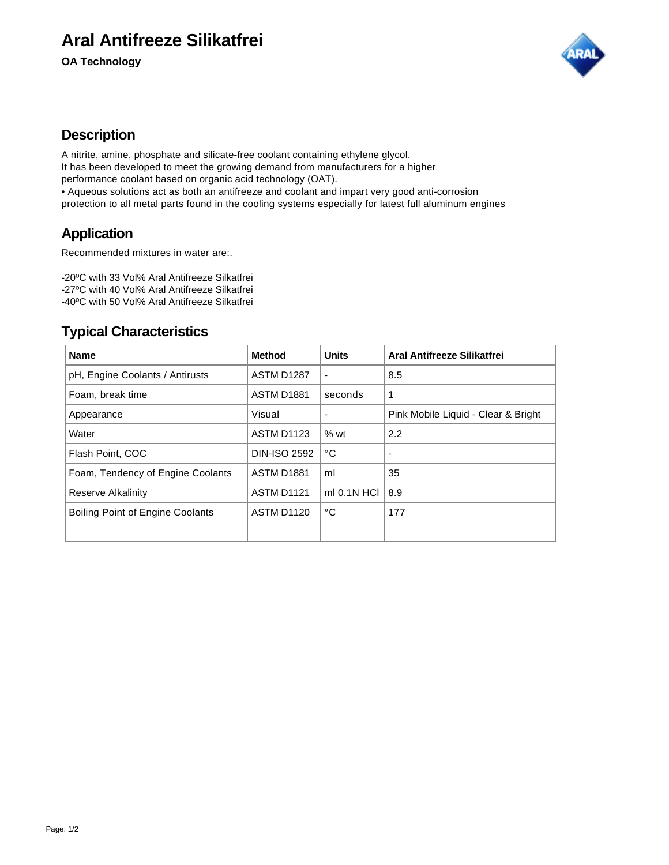# **Aral Antifreeze Silikatfrei**

**OA Technology**



#### **Description**

A nitrite, amine, phosphate and silicate-free coolant containing ethylene glycol. It has been developed to meet the growing demand from manufacturers for a higher performance coolant based on organic acid technology (OAT). • Aqueous solutions act as both an antifreeze and coolant and impart very good anti-corrosion protection to all metal parts found in the cooling systems especially for latest full aluminum engines

## **Application**

Recommended mixtures in water are:.

-20ºC with 33 Vol% Aral Antifreeze Silkatfrei -27ºC with 40 Vol% Aral Antifreeze Silkatfrei -40ºC with 50 Vol% Aral Antifreeze Silkatfrei

### **Typical Characteristics**

| <b>Name</b>                             | <b>Method</b>       | <b>Units</b>             | Aral Antifreeze Silikatfrei         |
|-----------------------------------------|---------------------|--------------------------|-------------------------------------|
| pH, Engine Coolants / Antirusts         | ASTM D1287          | $\overline{\phantom{a}}$ | 8.5                                 |
| Foam, break time                        | ASTM D1881          | seconds                  | 1                                   |
| Appearance                              | Visual              |                          | Pink Mobile Liquid - Clear & Bright |
| Water                                   | <b>ASTM D1123</b>   | %wt                      | 2.2                                 |
| Flash Point, COC                        | <b>DIN-ISO 2592</b> | °С                       |                                     |
| Foam, Tendency of Engine Coolants       | <b>ASTM D1881</b>   | ml                       | 35                                  |
| Reserve Alkalinity                      | ASTM D1121          | $ml$ 0.1N HCl            | 8.9                                 |
| <b>Boiling Point of Engine Coolants</b> | ASTM D1120          | °С                       | 177                                 |
|                                         |                     |                          |                                     |